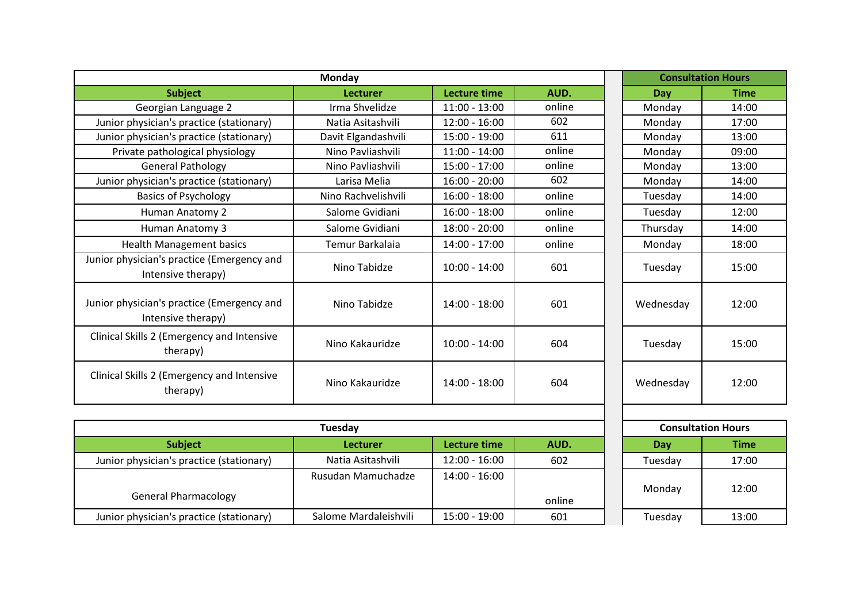| <b>Monday</b>                                                    |                     |                     |        | <b>Consultation Hours</b> |             |
|------------------------------------------------------------------|---------------------|---------------------|--------|---------------------------|-------------|
| <b>Subject</b>                                                   | Lecturer            | <b>Lecture time</b> | AUD.   | Dav                       | <b>Time</b> |
| Georgian Language 2                                              | Irma Shvelidze      | $11:00 - 13:00$     | online | Monday                    | 14:00       |
| Junior physician's practice (stationary)                         | Natia Asitashvili   | $12:00 - 16:00$     | 602    | Monday                    | 17:00       |
| Junior physician's practice (stationary)                         | Davit Elgandashvili | 15:00 - 19:00       | 611    | Monday                    | 13:00       |
| Private pathological physiology                                  | Nino Pavliashvili   | $11:00 - 14:00$     | online | Monday                    | 09:00       |
| <b>General Pathology</b>                                         | Nino Pavliashvili   | $15:00 - 17:00$     | online | Monday                    | 13:00       |
| Junior physician's practice (stationary)                         | Larisa Melia        | $16:00 - 20:00$     | 602    | Monday                    | 14:00       |
| <b>Basics of Psychology</b>                                      | Nino Rachvelishvili | $16:00 - 18:00$     | online | Tuesday                   | 14:00       |
| Human Anatomy 2                                                  | Salome Gvidiani     | $16:00 - 18:00$     | online | Tuesday                   | 12:00       |
| Human Anatomy 3                                                  | Salome Gvidiani     | 18:00 - 20:00       | online | Thursday                  | 14:00       |
| <b>Health Management basics</b>                                  | Temur Barkalaia     | 14:00 - 17:00       | online | Monday                    | 18:00       |
| Junior physician's practice (Emergency and<br>Intensive therapy) | Nino Tabidze        | $10:00 - 14:00$     | 601    | Tuesday                   | 15:00       |
| Junior physician's practice (Emergency and<br>Intensive therapy) | Nino Tabidze        | $14:00 - 18:00$     | 601    | Wednesday                 | 12:00       |
| Clinical Skills 2 (Emergency and Intensive<br>therapy)           | Nino Kakauridze     | $10:00 - 14:00$     | 604    | Tuesday                   | 15:00       |
| Clinical Skills 2 (Emergency and Intensive<br>therapy)           | Nino Kakauridze     | 14:00 - 18:00       | 604    | Wednesday                 | 12:00       |

| Tuesday                                  |                       |                 |        |         | <b>Consultation Hours</b> |  |
|------------------------------------------|-----------------------|-----------------|--------|---------|---------------------------|--|
| <b>Subject</b>                           | Lecturer              | Lecture time    | AUD.   | Day     | Time                      |  |
| Junior physician's practice (stationary) | Natia Asitashvili     | $12:00 - 16:00$ | 602    | Tuesday | 17:00                     |  |
| <b>General Pharmacology</b>              | Rusudan Mamuchadze    | $14:00 - 16:00$ | online | Monday  | 12:00                     |  |
| Junior physician's practice (stationary) | Salome Mardaleishvili | $15:00 - 19:00$ | 601    | Tuesday | 13:00                     |  |

| <b>Consultation Hours</b> |             |  |  |  |  |
|---------------------------|-------------|--|--|--|--|
| Day                       | <b>Time</b> |  |  |  |  |
| Tuesday                   | 17:00       |  |  |  |  |
| Monday                    | 12:00       |  |  |  |  |
| Tuesday                   | 13:00       |  |  |  |  |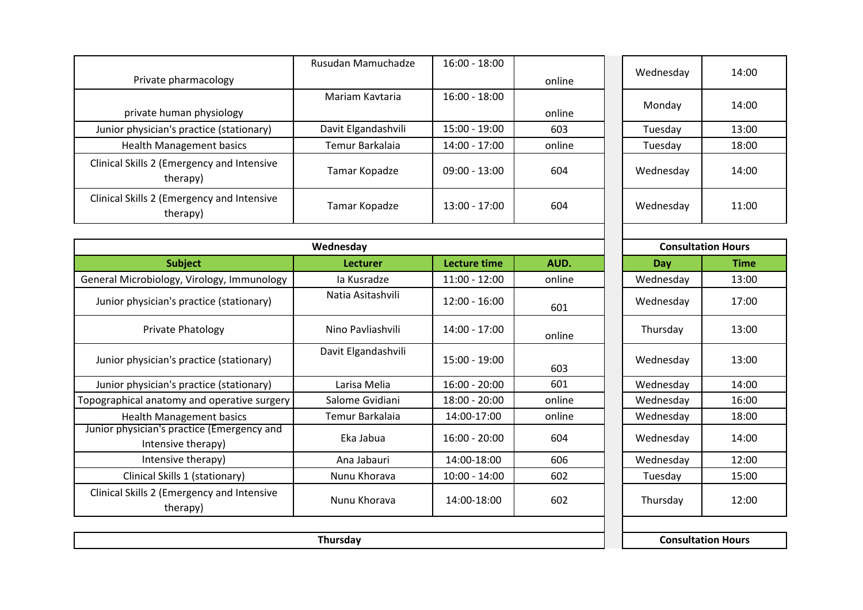|                                                                  | Rusudan Mamuchadze  | $16:00 - 18:00$     |        | Wednesday                 | 14:00       |
|------------------------------------------------------------------|---------------------|---------------------|--------|---------------------------|-------------|
| Private pharmacology                                             |                     |                     | online |                           |             |
|                                                                  | Mariam Kaytaria     | $16:00 - 18:00$     |        |                           | 14:00       |
| private human physiology                                         |                     |                     | online | Monday                    |             |
| Junior physician's practice (stationary)                         | Davit Elgandashvili | 15:00 - 19:00       | 603    | Tuesday                   | 13:00       |
| <b>Health Management basics</b>                                  | Temur Barkalaia     | 14:00 - 17:00       | online | Tuesday                   | 18:00       |
| Clinical Skills 2 (Emergency and Intensive<br>therapy)           | Tamar Kopadze       | $09:00 - 13:00$     | 604    | Wednesday                 | 14:00       |
| Clinical Skills 2 (Emergency and Intensive<br>therapy)           | Tamar Kopadze       | $13:00 - 17:00$     | 604    | Wednesday                 | 11:00       |
|                                                                  |                     |                     |        |                           |             |
|                                                                  | Wednesday           |                     |        | <b>Consultation Hours</b> |             |
| <b>Subject</b>                                                   | <b>Lecturer</b>     | <b>Lecture time</b> | AUD.   | <b>Day</b>                | <b>Time</b> |
| General Microbiology, Virology, Immunology                       | la Kusradze         | $11:00 - 12:00$     | online | Wednesday                 | 13:00       |
| Junior physician's practice (stationary)                         | Natia Asitashvili   | $12:00 - 16:00$     | 601    | Wednesday                 | 17:00       |
| Private Phatology                                                | Nino Pavliashvili   | $14:00 - 17:00$     | online | Thursday                  | 13:00       |
| Junior physician's practice (stationary)                         | Davit Elgandashvili | 15:00 - 19:00       | 603    | Wednesday                 | 13:00       |
| Junior physician's practice (stationary)                         | Larisa Melia        | $16:00 - 20:00$     | 601    | Wednesday                 | 14:00       |
| Topographical anatomy and operative surgery                      | Salome Gvidiani     | $18:00 - 20:00$     | online | Wednesday                 | 16:00       |
| <b>Health Management basics</b>                                  | Temur Barkalaia     | 14:00-17:00         | online | Wednesday                 | 18:00       |
| Junior physician's practice (Emergency and<br>Intensive therapy) | Eka Jabua           | $16:00 - 20:00$     | 604    | Wednesday                 | 14:00       |
| Intensive therapy)                                               | Ana Jabauri         | 14:00-18:00         | 606    | Wednesday                 | 12:00       |
| Clinical Skills 1 (stationary)                                   | Nunu Khorava        | $10:00 - 14:00$     | 602    | Tuesday                   | 15:00       |
| Clinical Skills 2 (Emergency and Intensive<br>therapy)           | Nunu Khorava        | 14:00-18:00         | 602    | Thursday                  | 12:00       |
|                                                                  | Thursday            |                     |        | <b>Consultation Hours</b> |             |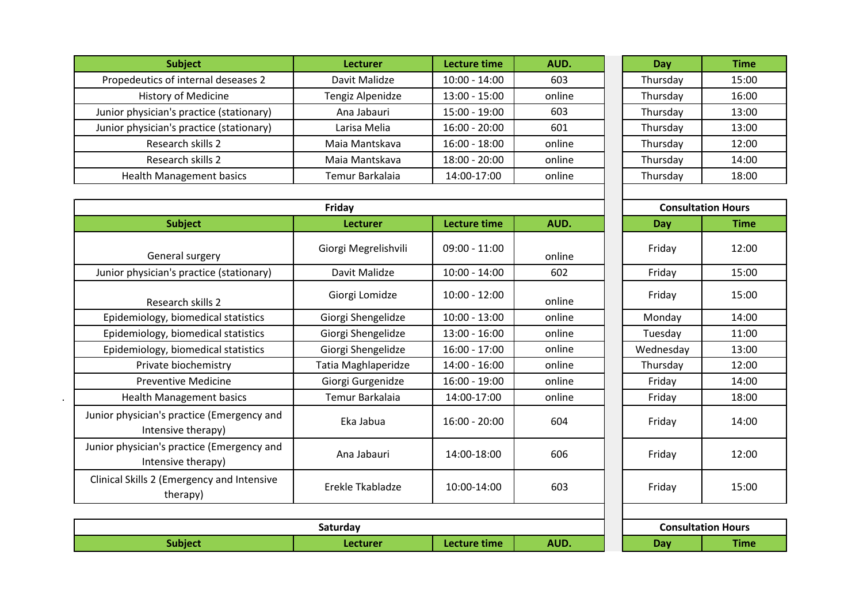| <b>Subject</b>                           | <b>Lecturer</b>  | <b>Lecture time</b> | AUD.   | Day      | <b>Time</b> |  |
|------------------------------------------|------------------|---------------------|--------|----------|-------------|--|
| Propedeutics of internal deseases 2      | Davit Malidze    | $10:00 - 14:00$     | 603    | Thursday | 15:00       |  |
| <b>History of Medicine</b>               | Tengiz Alpenidze | $13:00 - 15:00$     | online | Thursday | 16:00       |  |
| Junior physician's practice (stationary) | Ana Jabauri      | $15:00 - 19:00$     | 603    | Thursday | 13:00       |  |
| Junior physician's practice (stationary) | Larisa Melia     | $16:00 - 20:00$     | 601    | Thursday | 13:00       |  |
| Research skills 2                        | Maia Mantskava   | $16:00 - 18:00$     | online | Thursday | 12:00       |  |
| Research skills 2                        | Maia Mantskava   | $18:00 - 20:00$     | online | Thursday | 14:00       |  |
| <b>Health Management basics</b>          | Temur Barkalaia  | 14:00-17:00         | online | Thursday | 18:00       |  |

| Day      | <b>Time</b> |
|----------|-------------|
| Thursday | 15:00       |
| Thursday | 16:00       |
| Thursday | 13:00       |
| Thursday | 13:00       |
| Thursday | 12:00       |
| Thursday | 14:00       |
| Thursday | 18:00       |

Ξ Ξ 

|                                                                  | Friday               |                     |        |            | <b>Consultation Hours</b> |
|------------------------------------------------------------------|----------------------|---------------------|--------|------------|---------------------------|
| <b>Subject</b>                                                   | Lecturer             | <b>Lecture time</b> | AUD.   | Day        | <b>Time</b>               |
| General surgery                                                  | Giorgi Megrelishvili | $09:00 - 11:00$     | online | Friday     | 12:00                     |
| Junior physician's practice (stationary)                         | Davit Malidze        | $10:00 - 14:00$     | 602    | Friday     | 15:00                     |
| Research skills 2                                                | Giorgi Lomidze       | $10:00 - 12:00$     | online | Friday     | 15:00                     |
| Epidemiology, biomedical statistics                              | Giorgi Shengelidze   | $10:00 - 13:00$     | online | Monday     | 14:00                     |
| Epidemiology, biomedical statistics                              | Giorgi Shengelidze   | $13:00 - 16:00$     | online | Tuesday    | 11:00                     |
| Epidemiology, biomedical statistics                              | Giorgi Shengelidze   | $16:00 - 17:00$     | online | Wednesday  | 13:00                     |
| Private biochemistry                                             | Tatia Maghlaperidze  | $14:00 - 16:00$     | online | Thursday   | 12:00                     |
| <b>Preventive Medicine</b>                                       | Giorgi Gurgenidze    | $16:00 - 19:00$     | online | Friday     | 14:00                     |
| <b>Health Management basics</b>                                  | Temur Barkalaia      | 14:00-17:00         | online | Friday     | 18:00                     |
| Junior physician's practice (Emergency and<br>Intensive therapy) | Eka Jabua            | $16:00 - 20:00$     | 604    | Friday     | 14:00                     |
| Junior physician's practice (Emergency and<br>Intensive therapy) | Ana Jabauri          | 14:00-18:00         | 606    | Friday     | 12:00                     |
| Clinical Skills 2 (Emergency and Intensive<br>therapy)           | Erekle Tkabladze     | 10:00-14:00         | 603    | Friday     | 15:00                     |
|                                                                  |                      |                     |        |            |                           |
|                                                                  | Saturday             |                     |        |            | <b>Consultation Hours</b> |
| <b>Subject</b>                                                   | Lecturer             | Lecture time        | AUD.   | <b>Day</b> | <b>Time</b>               |